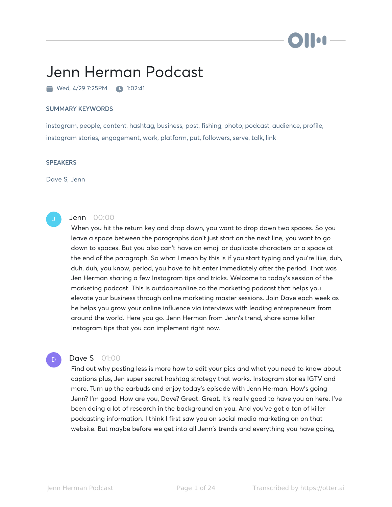# i i log

# Jenn Herman Podcast

Wed, 4/29 7:25PM 1:02:41

#### SUMMARY KEYWORDS

instagram, people, content, hashtag, business, post, fishing, photo, podcast, audience, profile, instagram stories, engagement, work, platform, put, followers, serve, talk, link

#### **SPEAKERS**

Dave S, Jenn



# **Jenn** 00:00

When you hit the return key and drop down, you want to drop down two spaces. So you leave a space between the paragraphs don't just start on the next line, you want to go down to spaces. But you also can't have an emoji or duplicate characters or a space at the end of the paragraph. So what I mean by this is if you start typing and you're like, duh, duh, duh, you know, period, you have to hit enter immediately after the period. That was Jen Herman sharing a few Instagram tips and tricks. Welcome to today's session of the marketing podcast. This is outdoorsonline.co the marketing podcast that helps you elevate your business through online marketing master sessions. Join Dave each week as he helps you grow your online influence via interviews with leading entrepreneurs from around the world. Here you go. Jenn Herman from Jenn's trend, share some killer Instagram tips that you can implement right now.

D

# **Dave S** 01:00

Find out why posting less is more how to edit your pics and what you need to know about captions plus, Jen super secret hashtag strategy that works. Instagram stories IGTV and more. Turn up the earbuds and enjoy today's episode with Jenn Herman. How's going Jenn? I'm good. How are you, Dave? Great. Great. It's really good to have you on here. I've been doing a lot of research in the background on you. And you've got a ton of killer podcasting information. I think I first saw you on social media marketing on on that website. But maybe before we get into all Jenn's trends and everything you have going,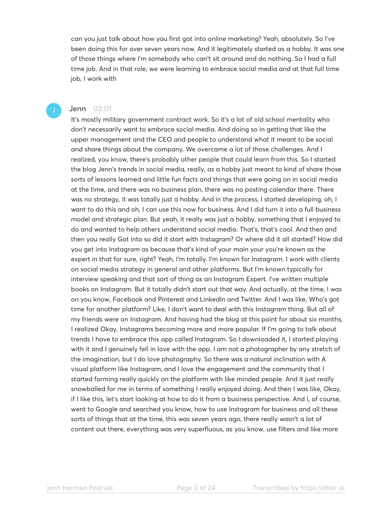can you just talk about how you first got into online marketing? Yeah, absolutely. So I've been doing this for over seven years now. And it legitimately started as a hobby. It was one of those things where I'm somebody who can't sit around and do nothing. So I had a full time job. And in that role, we were learning to embrace social media and at that full time job, I work with

## **Jenn** 02:01

It's mostly military government contract work. So it's a lot of old school mentality who don't necessarily want to embrace social media. And doing so in getting that like the upper management and the CEO and people to understand what it meant to be social and share things about the company. We overcame a lot of those challenges. And I realized, you know, there's probably other people that could learn from this. So I started the blog Jenn's trends in social media, really, as a hobby just meant to kind of share those sorts of lessons learned and little fun facts and things that were going on in social media at the time, and there was no business plan, there was no posting calendar there. There was no strategy, it was totally just a hobby. And in the process, I started developing, oh, I want to do this and oh, I can use this now for business. And I did turn it into a full business model and strategic plan. But yeah, it really was just a hobby, something that I enjoyed to do and wanted to help others understand social media. That's, that's cool. And then and then you really Got into so did it start with Instagram? Or where did it all started? How did you get into Instagram as because that's kind of your main your you're known as the expert in that for sure, right? Yeah, I'm totally. I'm known for Instagram. I work with clients on social media strategy in general and other platforms. But I'm known typically for interview speaking and that sort of thing as an Instagram Expert. I've written multiple books on Instagram. But it totally didn't start out that way. And actually, at the time, I was on you know, Facebook and Pinterest and LinkedIn and Twitter. And I was like, Who's got time for another platform? Like, I don't want to deal with this Instagram thing. But all of my friends were on Instagram. And having had the blog at this point for about six months, I realized Okay, Instagrams becoming more and more popular. If I'm going to talk about trends I have to embrace this app called Instagram. So I downloaded it, I started playing with it and I genuinely fell in love with the app. I am not a photographer by any stretch of the imagination, but I do love photography. So there was a natural inclination with A visual platform like Instagram, and I love the engagement and the community that I started forming really quickly on the platform with like minded people. And it just really snowballed for me in terms of something I really enjoyed doing. And then I was like, Okay, if I like this, let's start looking at how to do it from a business perspective. And I, of course, went to Google and searched you know, how to use Instagram for business and all these sorts of things that at the time, this was seven years ago, there really wasn't a lot of content out there, everything was very superfluous, as you know, use filters and like more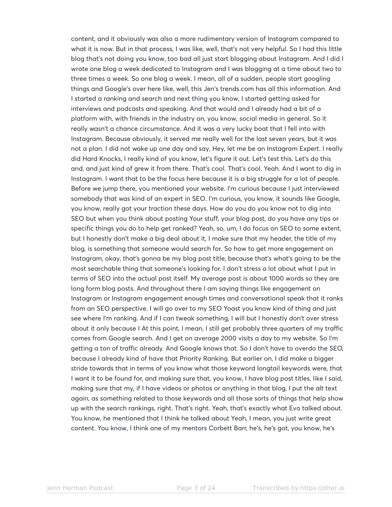content, and it obviously was also a more rudimentary version of Instagram compared to what it is now. But in that process, I was like, well, that's not very helpful. So I had this little blog that's not doing you know, too bad all just start blogging about Instagram. And I did I wrote one blog a week dedicated to Instagram and I was blogging at a time about two to three times a week. So one blog a week. I mean, all of a sudden, people start googling things and Google's over here like, well, this Jen's trends.com has all this information. And I started a ranking and search and next thing you know, I started getting asked for interviews and podcasts and speaking. And that would and I already had a bit of a platform with, with friends in the industry on, you know, social media in general. So it really wasn't a chance circumstance. And it was a very lucky boat that I fell into with Instagram. Because obviously, it served me really well for the last seven years, but it was not a plan. I did not wake up one day and say, Hey, let me be an Instagram Expert. I really did Hard Knocks, I really kind of you know, let's figure it out. Let's test this. Let's do this and, and just kind of grew it from there. That's cool. That's cool. Yeah. And I want to dig in Instagram. I want that to be the focus here because it is a big struggle for a lot of people. Before we jump there, you mentioned your website. I'm curious because I just interviewed somebody that was kind of an expert in SEO. I'm curious, you know, it sounds like Google, you know, really got your traction these days. How do you do you know not to dig into SEO but when you think about posting Your stuff, your blog post, do you have any tips or specific things you do to help get ranked? Yeah, so, um, I do focus on SEO to some extent, but I honestly don't make a big deal about it, I make sure that my header, the title of my blog, is something that someone would search for. So how to get more engagement on Instagram, okay, that's gonna be my blog post title, because that's what's going to be the most searchable thing that someone's looking for. I don't stress a lot about what I put in terms of SEO into the actual post itself. My average post is about 1000 words so they are long form blog posts. And throughout there I am saying things like engagement on Instagram or Instagram engagement enough times and conversational speak that it ranks from an SEO perspective. I will go over to my SEO Yoast you know kind of thing and just see where I'm ranking. And if I can tweak something, I will but I honestly don't over stress about it only because I At this point, I mean, I still get probably three quarters of my traffic comes from Google search. And I get on average 2000 visits a day to my website. So I'm getting a ton of traffic already. And Google knows that. So I don't have to overdo the SEO, because I already kind of have that Priority Ranking. But earlier on, I did make a bigger stride towards that in terms of you know what those keyword longtail keywords were, that I want it to be found for, and making sure that, you know, I have blog post titles, like I said, making sure that my, if I have videos or photos or anything in that blog, I put the alt text again, as something related to those keywords and all those sorts of things that help show up with the search rankings, right. That's right. Yeah, that's exactly what Evo talked about. You know, he mentioned that I think he talked about Yeah, I mean, you just write great content. You know, I think one of my mentors Corbett Barr, he's, he's got, you know, he's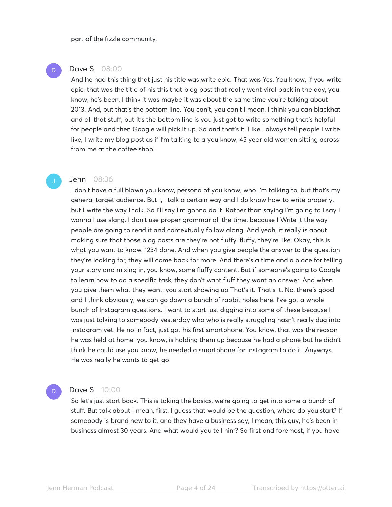part of the fizzle community.

# **Dave S** 08:00

D

And he had this thing that just his title was write epic. That was Yes. You know, if you write epic, that was the title of his this that blog post that really went viral back in the day, you know, he's been, I think it was maybe it was about the same time you're talking about 2013. And, but that's the bottom line. You can't, you can't I mean, I think you can blackhat and all that stuff, but it's the bottom line is you just got to write something that's helpful for people and then Google will pick it up. So and that's it. Like I always tell people I write like, I write my blog post as if I'm talking to a you know, 45 year old woman sitting across from me at the coffee shop.

#### **Jenn** 08:36

I don't have a full blown you know, persona of you know, who I'm talking to, but that's my general target audience. But I, I talk a certain way and I do know how to write properly, but I write the way I talk. So I'll say I'm gonna do it. Rather than saying I'm going to I say I wanna I use slang. I don't use proper grammar all the time, because I Write it the way people are going to read it and contextually follow along. And yeah, it really is about making sure that those blog posts are they're not fluffy, fluffy, they're like, Okay, this is what you want to know. 1234 done. And when you give people the answer to the question they're looking for, they will come back for more. And there's a time and a place for telling your story and mixing in, you know, some fluffy content. But if someone's going to Google to learn how to do a specific task, they don't want fluff they want an answer. And when you give them what they want, you start showing up That's it. That's it. No, there's good and I think obviously, we can go down a bunch of rabbit holes here. I've got a whole bunch of Instagram questions. I want to start just digging into some of these because I was just talking to somebody yesterday who who is really struggling hasn't really dug into Instagram yet. He no in fact, just got his first smartphone. You know, that was the reason he was held at home, you know, is holding them up because he had a phone but he didn't think he could use you know, he needed a smartphone for Instagram to do it. Anyways. He was really he wants to get go

### **Dave S** 10:00

So let's just start back. This is taking the basics, we're going to get into some a bunch of stuff. But talk about I mean, first, I guess that would be the question, where do you start? If somebody is brand new to it, and they have a business say, I mean, this guy, he's been in business almost 30 years. And what would you tell him? So first and foremost, if you have

D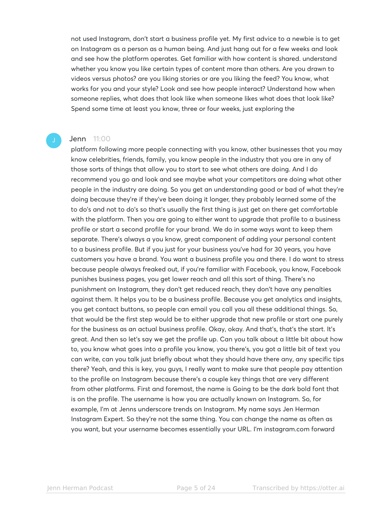not used Instagram, don't start a business profile yet. My first advice to a newbie is to get on Instagram as a person as a human being. And just hang out for a few weeks and look and see how the platform operates. Get familiar with how content is shared. understand whether you know you like certain types of content more than others. Are you drawn to videos versus photos? are you liking stories or are you liking the feed? You know, what works for you and your style? Look and see how people interact? Understand how when someone replies, what does that look like when someone likes what does that look like? Spend some time at least you know, three or four weeks, just exploring the

#### Jenn 11:00

platform following more people connecting with you know, other businesses that you may know celebrities, friends, family, you know people in the industry that you are in any of those sorts of things that allow you to start to see what others are doing. And I do recommend you go and look and see maybe what your competitors are doing what other people in the industry are doing. So you get an understanding good or bad of what they're doing because they're if they've been doing it longer, they probably learned some of the to do's and not to do's so that's usually the first thing is just get on there get comfortable with the platform. Then you are going to either want to upgrade that profile to a business profile or start a second profile for your brand. We do in some ways want to keep them separate. There's always a you know, great component of adding your personal content to a business profile. But if you just for your business you've had for 30 years, you have customers you have a brand. You want a business profile you and there. I do want to stress because people always freaked out, if you're familiar with Facebook, you know, Facebook punishes business pages, you get lower reach and all this sort of thing. There's no punishment on Instagram, they don't get reduced reach, they don't have any penalties against them. It helps you to be a business profile. Because you get analytics and insights, you get contact buttons, so people can email you call you all these additional things. So, that would be the first step would be to either upgrade that new profile or start one purely for the business as an actual business profile. Okay, okay. And that's, that's the start. It's great. And then so let's say we get the profile up. Can you talk about a little bit about how to, you know what goes into a profile you know, you there's, you got a little bit of text you can write, can you talk just briefly about what they should have there any, any specific tips there? Yeah, and this is key, you guys, I really want to make sure that people pay attention to the profile on Instagram because there's a couple key things that are very different from other platforms. First and foremost, the name is Going to be the dark bold font that is on the profile. The username is how you are actually known on Instagram. So, for example, I'm at Jenns underscore trends on Instagram. My name says Jen Herman Instagram Expert. So they're not the same thing. You can change the name as often as you want, but your username becomes essentially your URL. I'm instagram.com forward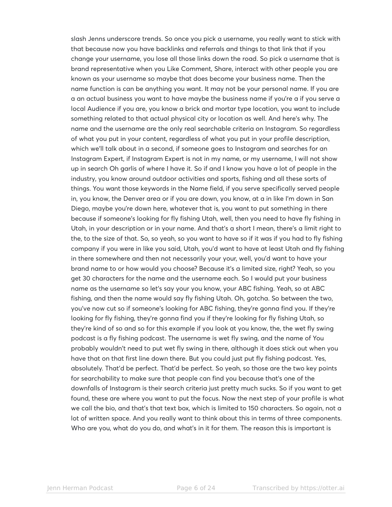slash Jenns underscore trends. So once you pick a username, you really want to stick with that because now you have backlinks and referrals and things to that link that if you change your username, you lose all those links down the road. So pick a username that is brand representative when you Like Comment, Share, interact with other people you are known as your username so maybe that does become your business name. Then the name function is can be anything you want. It may not be your personal name. If you are a an actual business you want to have maybe the business name if you're a if you serve a local Audience if you are, you know a brick and mortar type location, you want to include something related to that actual physical city or location as well. And here's why. The name and the username are the only real searchable criteria on Instagram. So regardless of what you put in your content, regardless of what you put in your profile description, which we'll talk about in a second, if someone goes to Instagram and searches for an Instagram Expert, if Instagram Expert is not in my name, or my username, I will not show up in search Oh garlis of where I have it. So if and I know you have a lot of people in the industry, you know around outdoor activities and sports, fishing and all these sorts of things. You want those keywords in the Name field, if you serve specifically served people in, you know, the Denver area or if you are down, you know, at a in like I'm down in San Diego, maybe you're down here, whatever that is, you want to put something in there because if someone's looking for fly fishing Utah, well, then you need to have fly fishing in Utah, in your description or in your name. And that's a short I mean, there's a limit right to the, to the size of that. So, so yeah, so you want to have so if it was if you had to fly fishing company if you were in like you said, Utah, you'd want to have at least Utah and fly fishing in there somewhere and then not necessarily your your, well, you'd want to have your brand name to or how would you choose? Because it's a limited size, right? Yeah, so you get 30 characters for the name and the username each. So I would put your business name as the username so let's say your you know, your ABC fishing. Yeah, so at ABC fishing, and then the name would say fly fishing Utah. Oh, gotcha. So between the two, you've now cut so if someone's looking for ABC fishing, they're gonna find you. If they're looking for fly fishing, they're gonna find you if they're looking for fly fishing Utah, so they're kind of so and so for this example if you look at you know, the, the wet fly swing podcast is a fly fishing podcast. The username is wet fly swing, and the name of You probably wouldn't need to put wet fly swing in there, although it does stick out when you have that on that first line down there. But you could just put fly fishing podcast. Yes, absolutely. That'd be perfect. That'd be perfect. So yeah, so those are the two key points for searchability to make sure that people can find you because that's one of the downfalls of Instagram is their search criteria just pretty much sucks. So if you want to get found, these are where you want to put the focus. Now the next step of your profile is what we call the bio, and that's that text box, which is limited to 150 characters. So again, not a lot of written space. And you really want to think about this in terms of three components. Who are you, what do you do, and what's in it for them. The reason this is important is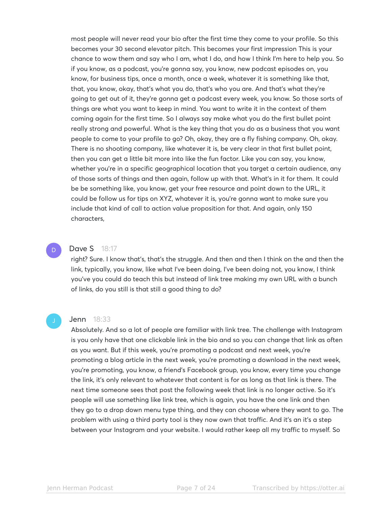most people will never read your bio after the first time they come to your profile. So this becomes your 30 second elevator pitch. This becomes your first impression This is your chance to wow them and say who I am, what I do, and how I think I'm here to help you. So if you know, as a podcast, you're gonna say, you know, new podcast episodes on, you know, for business tips, once a month, once a week, whatever it is something like that, that, you know, okay, that's what you do, that's who you are. And that's what they're going to get out of it, they're gonna get a podcast every week, you know. So those sorts of things are what you want to keep in mind. You want to write it in the context of them coming again for the first time. So I always say make what you do the first bullet point really strong and powerful. What is the key thing that you do as a business that you want people to come to your profile to go? Oh, okay, they are a fly fishing company. Oh, okay. There is no shooting company, like whatever it is, be very clear in that first bullet point, then you can get a little bit more into like the fun factor. Like you can say, you know, whether you're in a specific geographical location that you target a certain audience, any of those sorts of things and then again, follow up with that. What's in it for them. It could be be something like, you know, get your free resource and point down to the URL, it could be follow us for tips on XYZ, whatever it is, you're gonna want to make sure you include that kind of call to action value proposition for that. And again, only 150 characters,

# D

# **Dave S** 18:17

right? Sure. I know that's, that's the struggle. And then and then I think on the and then the link, typically, you know, like what I've been doing, I've been doing not, you know, I think you've you could do teach this but instead of link tree making my own URL with a bunch of links, do you still is that still a good thing to do?

#### Jenn 18:33

Absolutely. And so a lot of people are familiar with link tree. The challenge with Instagram is you only have that one clickable link in the bio and so you can change that link as often as you want. But if this week, you're promoting a podcast and next week, you're promoting a blog article in the next week, you're promoting a download in the next week, you're promoting, you know, a friend's Facebook group, you know, every time you change the link, it's only relevant to whatever that content is for as long as that link is there. The next time someone sees that post the following week that link is no longer active. So it's people will use something like link tree, which is again, you have the one link and then they go to a drop down menu type thing, and they can choose where they want to go. The problem with using a third party tool is they now own that traffic. And it's an it's a step between your Instagram and your website. I would rather keep all my traffic to myself. So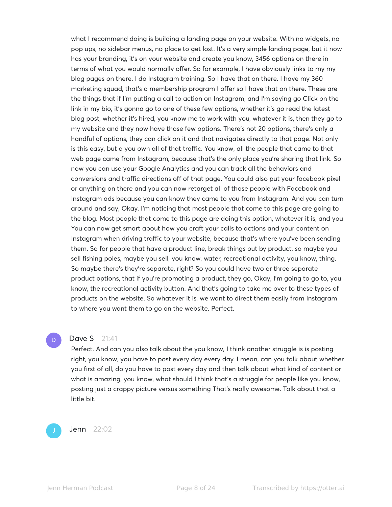what I recommend doing is building a landing page on your website. With no widgets, no pop ups, no sidebar menus, no place to get lost. It's a very simple landing page, but it now has your branding, it's on your website and create you know, 3456 options on there in terms of what you would normally offer. So for example, I have obviously links to my my blog pages on there. I do Instagram training. So I have that on there. I have my 360 marketing squad, that's a membership program I offer so I have that on there. These are the things that if I'm putting a call to action on Instagram, and I'm saying go Click on the link in my bio, it's gonna go to one of these few options, whether it's go read the latest blog post, whether it's hired, you know me to work with you, whatever it is, then they go to my website and they now have those few options. There's not 20 options, there's only a handful of options, they can click on it and that navigates directly to that page. Not only is this easy, but a you own all of that traffic. You know, all the people that came to that web page came from Instagram, because that's the only place you're sharing that link. So now you can use your Google Analytics and you can track all the behaviors and conversions and traffic directions off of that page. You could also put your facebook pixel or anything on there and you can now retarget all of those people with Facebook and Instagram ads because you can know they came to you from Instagram. And you can turn around and say, Okay, I'm noticing that most people that come to this page are going to the blog. Most people that come to this page are doing this option, whatever it is, and you You can now get smart about how you craft your calls to actions and your content on Instagram when driving traffic to your website, because that's where you've been sending them. So for people that have a product line, break things out by product, so maybe you sell fishing poles, maybe you sell, you know, water, recreational activity, you know, thing. So maybe there's they're separate, right? So you could have two or three separate product options, that if you're promoting a product, they go, Okay, I'm going to go to, you know, the recreational activity button. And that's going to take me over to these types of products on the website. So whatever it is, we want to direct them easily from Instagram to where you want them to go on the website. Perfect.

## Dave S 21:41

D

Perfect. And can you also talk about the you know, I think another struggle is is posting right, you know, you have to post every day every day. I mean, can you talk about whether you first of all, do you have to post every day and then talk about what kind of content or what is amazing, you know, what should I think that's a struggle for people like you know, posting just a crappy picture versus something That's really awesome. Talk about that a little bit.

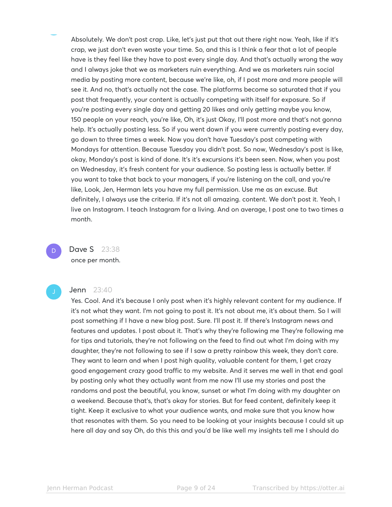Absolutely. We don't post crap. Like, let's just put that out there right now. Yeah, like if it's crap, we just don't even waste your time. So, and this is I think a fear that a lot of people have is they feel like they have to post every single day. And that's actually wrong the way and I always joke that we as marketers ruin everything. And we as marketers ruin social media by posting more content, because we're like, oh, if I post more and more people will see it. And no, that's actually not the case. The platforms become so saturated that if you post that frequently, your content is actually competing with itself for exposure. So if you're posting every single day and getting 20 likes and only getting maybe you know, 150 people on your reach, you're like, Oh, it's just Okay, I'll post more and that's not gonna help. It's actually posting less. So if you went down if you were currently posting every day, go down to three times a week. Now you don't have Tuesday's post competing with Mondays for attention. Because Tuesday you didn't post. So now, Wednesday's post is like, okay, Monday's post is kind of done. It's it's excursions it's been seen. Now, when you post on Wednesday, it's fresh content for your audience. So posting less is actually better. If you want to take that back to your managers, if you're listening on the call, and you're like, Look, Jen, Herman lets you have my full permission. Use me as an excuse. But definitely, I always use the criteria. If it's not all amazing. content. We don't post it. Yeah, I live on Instagram. I teach Instagram for a living. And on average, I post one to two times a month.

**Dave S** 23:38 once per month.

D

#### **Jenn** 23:40

Yes. Cool. And it's because I only post when it's highly relevant content for my audience. If it's not what they want. I'm not going to post it. It's not about me, it's about them. So I will post something if I have a new blog post. Sure. I'll post it. If there's Instagram news and features and updates. I post about it. That's why they're following me They're following me for tips and tutorials, they're not following on the feed to find out what I'm doing with my daughter, they're not following to see if I saw a pretty rainbow this week, they don't care. They want to learn and when I post high quality, valuable content for them, I get crazy good engagement crazy good traffic to my website. And it serves me well in that end goal by posting only what they actually want from me now I'll use my stories and post the randoms and post the beautiful, you know, sunset or what I'm doing with my daughter on a weekend. Because that's, that's okay for stories. But for feed content, definitely keep it tight. Keep it exclusive to what your audience wants, and make sure that you know how that resonates with them. So you need to be looking at your insights because I could sit up here all day and say Oh, do this this and you'd be like well my insights tell me I should do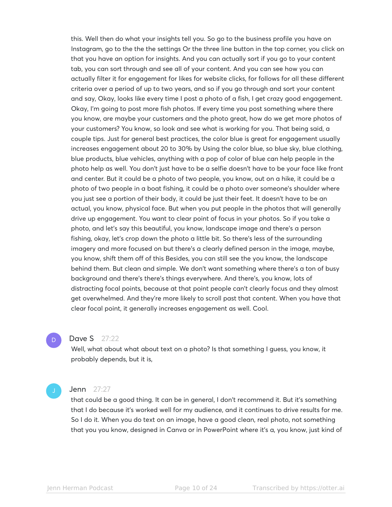this. Well then do what your insights tell you. So go to the business profile you have on Instagram, go to the the the settings Or the three line button in the top corner, you click on that you have an option for insights. And you can actually sort if you go to your content tab, you can sort through and see all of your content. And you can see how you can actually filter it for engagement for likes for website clicks, for follows for all these different criteria over a period of up to two years, and so if you go through and sort your content and say, Okay, looks like every time I post a photo of a fish, I get crazy good engagement. Okay, I'm going to post more fish photos. If every time you post something where there you know, are maybe your customers and the photo great, how do we get more photos of your customers? You know, so look and see what is working for you. That being said, a couple tips. Just for general best practices, the color blue is great for engagement usually increases engagement about 20 to 30% by Using the color blue, so blue sky, blue clothing, blue products, blue vehicles, anything with a pop of color of blue can help people in the photo help as well. You don't just have to be a selfie doesn't have to be your face like front and center. But it could be a photo of two people, you know, out on a hike, it could be a photo of two people in a boat fishing, it could be a photo over someone's shoulder where you just see a portion of their body, it could be just their feet. It doesn't have to be an actual, you know, physical face. But when you put people in the photos that will generally drive up engagement. You want to clear point of focus in your photos. So if you take a photo, and let's say this beautiful, you know, landscape image and there's a person fishing, okay, let's crop down the photo a little bit. So there's less of the surrounding imagery and more focused on but there's a clearly defined person in the image, maybe, you know, shift them off of this Besides, you can still see the you know, the landscape behind them. But clean and simple. We don't want something where there's a ton of busy background and there's there's things everywhere. And there's, you know, lots of distracting focal points, because at that point people can't clearly focus and they almost get overwhelmed. And they're more likely to scroll past that content. When you have that clear focal point, it generally increases engagement as well. Cool.

## Dave S 27:22

Well, what about what about text on a photo? Is that something I guess, you know, it probably depends, but it is,

D.

#### **Jenn** 27:27

that could be a good thing. It can be in general, I don't recommend it. But it's something that I do because it's worked well for my audience, and it continues to drive results for me. So I do it. When you do text on an image, have a good clean, real photo, not something that you you know, designed in Canva or in PowerPoint where it's a, you know, just kind of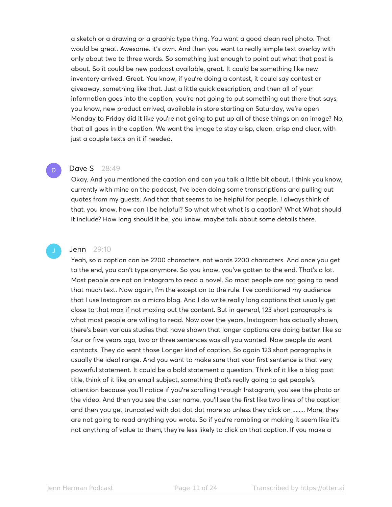a sketch or a drawing or a graphic type thing. You want a good clean real photo. That would be great. Awesome. it's own. And then you want to really simple text overlay with only about two to three words. So something just enough to point out what that post is about. So it could be new podcast available, great. It could be something like new inventory arrived. Great. You know, if you're doing a contest, it could say contest or giveaway, something like that. Just a little quick description, and then all of your information goes into the caption, you're not going to put something out there that says, you know, new product arrived, available in store starting on Saturday, we're open Monday to Friday did it like you're not going to put up all of these things on an image? No, that all goes in the caption. We want the image to stay crisp, clean, crisp and clear, with just a couple texts on it if needed.

# **Dave S** 28:49

Okay. And you mentioned the caption and can you talk a little bit about, I think you know, currently with mine on the podcast, I've been doing some transcriptions and pulling out quotes from my guests. And that that seems to be helpful for people. I always think of that, you know, how can I be helpful? So what what what is a caption? What What should it include? How long should it be, you know, maybe talk about some details there.

D

# **Jenn** 29:10

Yeah, so a caption can be 2200 characters, not words 2200 characters. And once you get to the end, you can't type anymore. So you know, you've gotten to the end. That's a lot. Most people are not on Instagram to read a novel. So most people are not going to read that much text. Now again, I'm the exception to the rule. I've conditioned my audience that I use Instagram as a micro blog. And I do write really long captions that usually get close to that max if not maxing out the content. But in general, 123 short paragraphs is what most people are willing to read. Now over the years, Instagram has actually shown, there's been various studies that have shown that longer captions are doing better, like so four or five years ago, two or three sentences was all you wanted. Now people do want contacts. They do want those Longer kind of caption. So again 123 short paragraphs is usually the ideal range. And you want to make sure that your first sentence is that very powerful statement. It could be a bold statement a question. Think of it like a blog post title, think of it like an email subject, something that's really going to get people's attention because you'll notice if you're scrolling through Instagram, you see the photo or the video. And then you see the user name, you'll see the first like two lines of the caption and then you get truncated with dot dot dot more so unless they click on ........ More, they are not going to read anything you wrote. So if you're rambling or making it seem like it's not anything of value to them, they're less likely to click on that caption. If you make a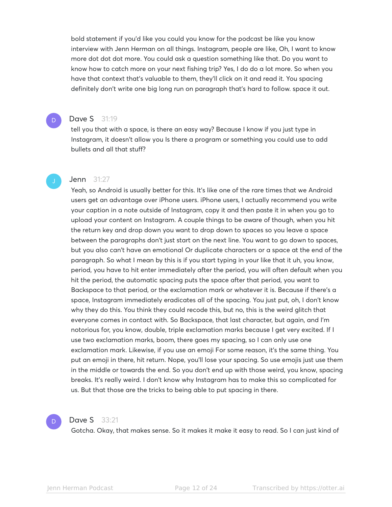bold statement if you'd like you could you know for the podcast be like you know interview with Jenn Herman on all things. Instagram, people are like, Oh, I want to know more dot dot dot more. You could ask a question something like that. Do you want to know how to catch more on your next fishing trip? Yes, I do do a lot more. So when you have that context that's valuable to them, they'll click on it and read it. You spacing definitely don't write one big long run on paragraph that's hard to follow. space it out.

# **Dave S** 31:19

D

tell you that with a space, is there an easy way? Because I know if you just type in Instagram, it doesn't allow you Is there a program or something you could use to add bullets and all that stuff?

#### **Jenn** 31:27

Yeah, so Android is usually better for this. It's like one of the rare times that we Android users get an advantage over iPhone users. iPhone users, I actually recommend you write your caption in a note outside of Instagram, copy it and then paste it in when you go to upload your content on Instagram. A couple things to be aware of though, when you hit the return key and drop down you want to drop down to spaces so you leave a space between the paragraphs don't just start on the next line. You want to go down to spaces, but you also can't have an emotional Or duplicate characters or a space at the end of the paragraph. So what I mean by this is if you start typing in your like that it uh, you know, period, you have to hit enter immediately after the period, you will often default when you hit the period, the automatic spacing puts the space after that period, you want to Backspace to that period, or the exclamation mark or whatever it is. Because if there's a space, Instagram immediately eradicates all of the spacing. You just put, oh, I don't know why they do this. You think they could recode this, but no, this is the weird glitch that everyone comes in contact with. So Backspace, that last character, but again, and I'm notorious for, you know, double, triple exclamation marks because I get very excited. If I use two exclamation marks, boom, there goes my spacing, so I can only use one exclamation mark. Likewise, if you use an emoji For some reason, it's the same thing. You put an emoji in there, hit return. Nope, you'll lose your spacing. So use emojis just use them in the middle or towards the end. So you don't end up with those weird, you know, spacing breaks. It's really weird. I don't know why Instagram has to make this so complicated for us. But that those are the tricks to being able to put spacing in there.



#### **Dave S** 33:21

Gotcha. Okay, that makes sense. So it makes it make it easy to read. So I can just kind of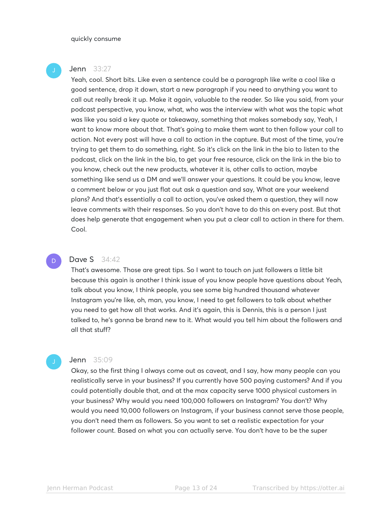#### quickly consume

#### **Jenn** 33:27

Yeah, cool. Short bits. Like even a sentence could be a paragraph like write a cool like a good sentence, drop it down, start a new paragraph if you need to anything you want to call out really break it up. Make it again, valuable to the reader. So like you said, from your podcast perspective, you know, what, who was the interview with what was the topic what was like you said a key quote or takeaway, something that makes somebody say, Yeah, I want to know more about that. That's going to make them want to then follow your call to action. Not every post will have a call to action in the capture. But most of the time, you're trying to get them to do something, right. So it's click on the link in the bio to listen to the podcast, click on the link in the bio, to get your free resource, click on the link in the bio to you know, check out the new products, whatever it is, other calls to action, maybe something like send us a DM and we'll answer your questions. It could be you know, leave a comment below or you just flat out ask a question and say, What are your weekend plans? And that's essentially a call to action, you've asked them a question, they will now leave comments with their responses. So you don't have to do this on every post. But that does help generate that engagement when you put a clear call to action in there for them. Cool.

#### **Dave S** 34:42

That's awesome. Those are great tips. So I want to touch on just followers a little bit because this again is another I think issue of you know people have questions about Yeah, talk about you know, I think people, you see some big hundred thousand whatever Instagram you're like, oh, man, you know, I need to get followers to talk about whether you need to get how all that works. And it's again, this is Dennis, this is a person I just talked to, he's gonna be brand new to it. What would you tell him about the followers and all that stuff?

# **Jenn** 35:09

Okay, so the first thing I always come out as caveat, and I say, how many people can you realistically serve in your business? If you currently have 500 paying customers? And if you could potentially double that, and at the max capacity serve 1000 physical customers in your business? Why would you need 100,000 followers on Instagram? You don't? Why would you need 10,000 followers on Instagram, if your business cannot serve those people, you don't need them as followers. So you want to set a realistic expectation for your follower count. Based on what you can actually serve. You don't have to be the super

D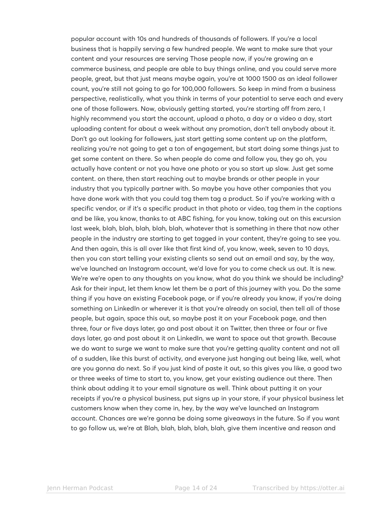popular account with 10s and hundreds of thousands of followers. If you're a local business that is happily serving a few hundred people. We want to make sure that your content and your resources are serving Those people now, if you're growing an e commerce business, and people are able to buy things online, and you could serve more people, great, but that just means maybe again, you're at 1000 1500 as an ideal follower count, you're still not going to go for 100,000 followers. So keep in mind from a business perspective, realistically, what you think in terms of your potential to serve each and every one of those followers. Now, obviously getting started, you're starting off from zero, I highly recommend you start the account, upload a photo, a day or a video a day, start uploading content for about a week without any promotion, don't tell anybody about it. Don't go out looking for followers, just start getting some content up on the platform, realizing you're not going to get a ton of engagement, but start doing some things just to get some content on there. So when people do come and follow you, they go oh, you actually have content or not you have one photo or you so start up slow. Just get some content. on there, then start reaching out to maybe brands or other people in your industry that you typically partner with. So maybe you have other companies that you have done work with that you could tag them tag a product. So if you're working with a specific vendor, or if it's a specific product in that photo or video, tag them in the captions and be like, you know, thanks to at ABC fishing, for you know, taking out on this excursion last week, blah, blah, blah, blah, blah, whatever that is something in there that now other people in the industry are starting to get tagged in your content, they're going to see you. And then again, this is all over like that first kind of, you know, week, seven to 10 days, then you can start telling your existing clients so send out an email and say, by the way, we've launched an Instagram account, we'd love for you to come check us out. It is new. We're we're open to any thoughts on you know, what do you think we should be including? Ask for their input, let them know let them be a part of this journey with you. Do the same thing if you have an existing Facebook page, or if you're already you know, if you're doing something on LinkedIn or wherever it is that you're already on social, then tell all of those people, but again, space this out, so maybe post it on your Facebook page, and then three, four or five days later, go and post about it on Twitter, then three or four or five days later, go and post about it on LinkedIn, we want to space out that growth. Because we do want to surge we want to make sure that you're getting quality content and not all of a sudden, like this burst of activity, and everyone just hanging out being like, well, what are you gonna do next. So if you just kind of paste it out, so this gives you like, a good two or three weeks of time to start to, you know, get your existing audience out there. Then think about adding it to your email signature as well. Think about putting it on your receipts if you're a physical business, put signs up in your store, if your physical business let customers know when they come in, hey, by the way we've launched an Instagram account. Chances are we're gonna be doing some giveaways in the future. So if you want to go follow us, we're at Blah, blah, blah, blah, blah, give them incentive and reason and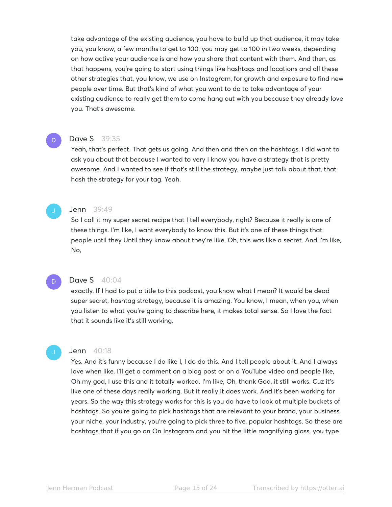take advantage of the existing audience, you have to build up that audience, it may take you, you know, a few months to get to 100, you may get to 100 in two weeks, depending on how active your audience is and how you share that content with them. And then, as that happens, you're going to start using things like hashtags and locations and all these other strategies that, you know, we use on Instagram, for growth and exposure to find new people over time. But that's kind of what you want to do to take advantage of your existing audience to really get them to come hang out with you because they already love you. That's awesome.

#### Dave S 39:35

Yeah, that's perfect. That gets us going. And then and then on the hashtags, I did want to ask you about that because I wanted to very I know you have a strategy that is pretty awesome. And I wanted to see if that's still the strategy, maybe just talk about that, that hash the strategy for your tag. Yeah.

#### **Jenn** 39:49

So I call it my super secret recipe that I tell everybody, right? Because it really is one of these things. I'm like, I want everybody to know this. But it's one of these things that people until they Until they know about they're like, Oh, this was like a secret. And I'm like, No,

#### D

D

# **Dave S** 40:04

exactly. If I had to put a title to this podcast, you know what I mean? It would be dead super secret, hashtag strategy, because it is amazing. You know, I mean, when you, when you listen to what you're going to describe here, it makes total sense. So I love the fact that it sounds like it's still working.

#### **Jenn** 40:18

Yes. And it's funny because I do like I, I do do this. And I tell people about it. And I always love when like, I'll get a comment on a blog post or on a YouTube video and people like, Oh my god, I use this and it totally worked. I'm like, Oh, thank God, it still works. Cuz it's like one of these days really working. But it really it does work. And it's been working for years. So the way this strategy works for this is you do have to look at multiple buckets of hashtags. So you're going to pick hashtags that are relevant to your brand, your business, your niche, your industry, you're going to pick three to five, popular hashtags. So these are hashtags that if you go on On Instagram and you hit the little magnifying glass, you type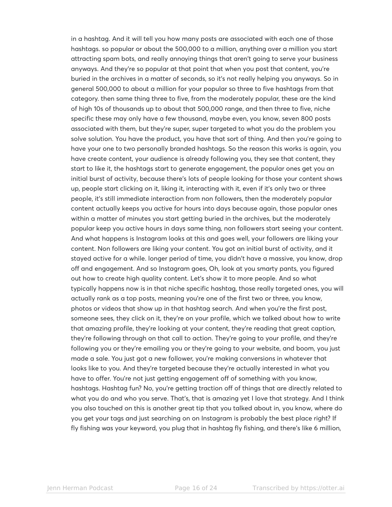in a hashtag. And it will tell you how many posts are associated with each one of those hashtags. so popular or about the 500,000 to a million, anything over a million you start attracting spam bots, and really annoying things that aren't going to serve your business anyways. And they're so popular at that point that when you post that content, you're buried in the archives in a matter of seconds, so it's not really helping you anyways. So in general 500,000 to about a million for your popular so three to five hashtags from that category. then same thing three to five, from the moderately popular, these are the kind of high 10s of thousands up to about that 500,000 range, and then three to five, niche specific these may only have a few thousand, maybe even, you know, seven 800 posts associated with them, but they're super, super targeted to what you do the problem you solve solution. You have the product, you have that sort of thing. And then you're going to have your one to two personally branded hashtags. So the reason this works is again, you have create content, your audience is already following you, they see that content, they start to like it, the hashtags start to generate engagement, the popular ones get you an initial burst of activity, because there's lots of people looking for those your content shows up, people start clicking on it, liking it, interacting with it, even if it's only two or three people, it's still immediate interaction from non followers, then the moderately popular content actually keeps you active for hours into days because again, those popular ones within a matter of minutes you start getting buried in the archives, but the moderately popular keep you active hours in days same thing, non followers start seeing your content. And what happens is Instagram looks at this and goes well, your followers are liking your content. Non followers are liking your content. You got an initial burst of activity, and it stayed active for a while. longer period of time, you didn't have a massive, you know, drop off and engagement. And so Instagram goes, Oh, look at you smarty pants, you figured out how to create high quality content. Let's show it to more people. And so what typically happens now is in that niche specific hashtag, those really targeted ones, you will actually rank as a top posts, meaning you're one of the first two or three, you know, photos or videos that show up in that hashtag search. And when you're the first post, someone sees, they click on it, they're on your profile, which we talked about how to write that amazing profile, they're looking at your content, they're reading that great caption, they're following through on that call to action. They're going to your profile, and they're following you or they're emailing you or they're going to your website, and boom, you just made a sale. You just got a new follower, you're making conversions in whatever that looks like to you. And they're targeted because they're actually interested in what you have to offer. You're not just getting engagement off of something with you know, hashtags. Hashtag fun? No, you're getting traction off of things that are directly related to what you do and who you serve. That's, that is amazing yet I love that strategy. And I think you also touched on this is another great tip that you talked about in, you know, where do you get your tags and just searching on on Instagram is probably the best place right? If fly fishing was your keyword, you plug that in hashtag fly fishing, and there's like 6 million,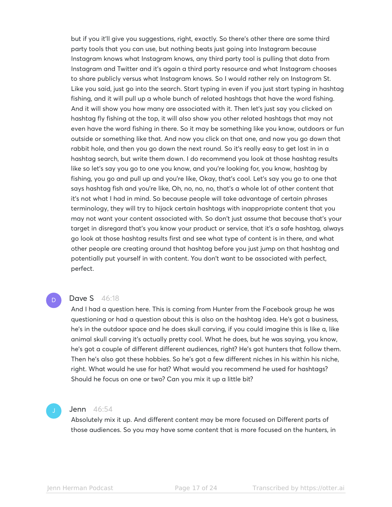but if you it'll give you suggestions, right, exactly. So there's other there are some third party tools that you can use, but nothing beats just going into Instagram because Instagram knows what Instagram knows, any third party tool is pulling that data from Instagram and Twitter and it's again a third party resource and what Instagram chooses to share publicly versus what Instagram knows. So I would rather rely on Instagram St. Like you said, just go into the search. Start typing in even if you just start typing in hashtag fishing, and it will pull up a whole bunch of related hashtags that have the word fishing. And it will show you how many are associated with it. Then let's just say you clicked on hashtag fly fishing at the top, it will also show you other related hashtags that may not even have the word fishing in there. So it may be something like you know, outdoors or fun outside or something like that. And now you click on that one, and now you go down that rabbit hole, and then you go down the next round. So it's really easy to get lost in in a hashtag search, but write them down. I do recommend you look at those hashtag results like so let's say you go to one you know, and you're looking for, you know, hashtag by fishing, you go and pull up and you're like, Okay, that's cool. Let's say you go to one that says hashtag fish and you're like, Oh, no, no, no, that's a whole lot of other content that it's not what I had in mind. So because people will take advantage of certain phrases terminology, they will try to hijack certain hashtags with inappropriate content that you may not want your content associated with. So don't just assume that because that's your target in disregard that's you know your product or service, that it's a safe hashtag, always go look at those hashtag results first and see what type of content is in there, and what other people are creating around that hashtag before you just jump on that hashtag and potentially put yourself in with content. You don't want to be associated with perfect, perfect.

# **Dave S** 46:18

And I had a question here. This is coming from Hunter from the Facebook group he was questioning or had a question about this is also on the hashtag idea. He's got a business, he's in the outdoor space and he does skull carving, if you could imagine this is like a, like animal skull carving it's actually pretty cool. What he does, but he was saying, you know, he's got a couple of different different audiences, right? He's got hunters that follow them. Then he's also got these hobbies. So he's got a few different niches in his within his niche, right. What would he use for hat? What would you recommend he used for hashtags? Should he focus on one or two? Can you mix it up a little bit?

D

#### Jenn 46:54

Absolutely mix it up. And different content may be more focused on Different parts of those audiences. So you may have some content that is more focused on the hunters, in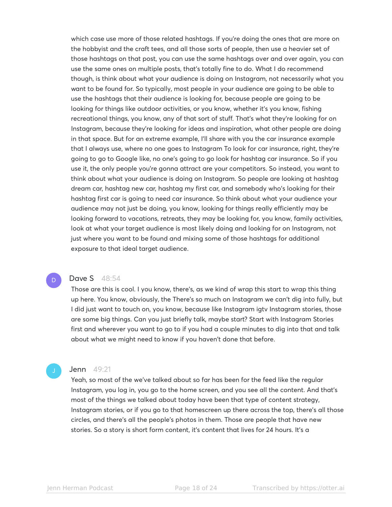which case use more of those related hashtags. If you're doing the ones that are more on the hobbyist and the craft tees, and all those sorts of people, then use a heavier set of those hashtags on that post, you can use the same hashtags over and over again, you can use the same ones on multiple posts, that's totally fine to do. What I do recommend though, is think about what your audience is doing on Instagram, not necessarily what you want to be found for. So typically, most people in your audience are going to be able to use the hashtags that their audience is looking for, because people are going to be looking for things like outdoor activities, or you know, whether it's you know, fishing recreational things, you know, any of that sort of stuff. That's what they're looking for on Instagram, because they're looking for ideas and inspiration, what other people are doing in that space. But for an extreme example, I'll share with you the car insurance example that I always use, where no one goes to Instagram To look for car insurance, right, they're going to go to Google like, no one's going to go look for hashtag car insurance. So if you use it, the only people you're gonna attract are your competitors. So instead, you want to think about what your audience is doing on Instagram. So people are looking at hashtag dream car, hashtag new car, hashtag my first car, and somebody who's looking for their hashtag first car is going to need car insurance. So think about what your audience your audience may not just be doing, you know, looking for things really efficiently may be looking forward to vacations, retreats, they may be looking for, you know, family activities, look at what your target audience is most likely doing and looking for on Instagram, not just where you want to be found and mixing some of those hashtags for additional exposure to that ideal target audience.

### **Dave S** 48:54

D

Those are this is cool. I you know, there's, as we kind of wrap this start to wrap this thing up here. You know, obviously, the There's so much on Instagram we can't dig into fully, but I did just want to touch on, you know, because like Instagram igtv Instagram stories, those are some big things. Can you just briefly talk, maybe start? Start with Instagram Stories first and wherever you want to go to if you had a couple minutes to dig into that and talk about what we might need to know if you haven't done that before.

#### **Jenn** 49:21

Yeah, so most of the we've talked about so far has been for the feed like the regular Instagram, you log in, you go to the home screen, and you see all the content. And that's most of the things we talked about today have been that type of content strategy, Instagram stories, or if you go to that homescreen up there across the top, there's all those circles, and there's all the people's photos in them. Those are people that have new stories. So a story is short form content, it's content that lives for 24 hours. It's a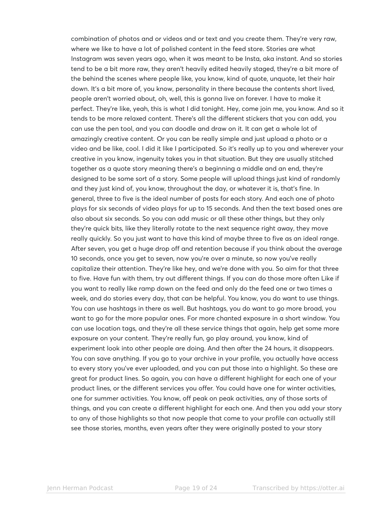combination of photos and or videos and or text and you create them. They're very raw, where we like to have a lot of polished content in the feed store. Stories are what Instagram was seven years ago, when it was meant to be Insta, aka instant. And so stories tend to be a bit more raw, they aren't heavily edited heavily staged, they're a bit more of the behind the scenes where people like, you know, kind of quote, unquote, let their hair down. It's a bit more of, you know, personality in there because the contents short lived, people aren't worried about, oh, well, this is gonna live on forever. I have to make it perfect. They're like, yeah, this is what I did tonight. Hey, come join me, you know. And so it tends to be more relaxed content. There's all the different stickers that you can add, you can use the pen tool, and you can doodle and draw on it. It can get a whole lot of amazingly creative content. Or you can be really simple and just upload a photo or a video and be like, cool. I did it like I participated. So it's really up to you and wherever your creative in you know, ingenuity takes you in that situation. But they are usually stitched together as a quote story meaning there's a beginning a middle and an end, they're designed to be some sort of a story. Some people will upload things just kind of randomly and they just kind of, you know, throughout the day, or whatever it is, that's fine. In general, three to five is the ideal number of posts for each story. And each one of photo plays for six seconds of video plays for up to 15 seconds. And then the text based ones are also about six seconds. So you can add music or all these other things, but they only they're quick bits, like they literally rotate to the next sequence right away, they move really quickly. So you just want to have this kind of maybe three to five as an ideal range. After seven, you get a huge drop off and retention because if you think about the average 10 seconds, once you get to seven, now you're over a minute, so now you've really capitalize their attention. They're like hey, and we're done with you. So aim for that three to five. Have fun with them, try out different things. If you can do those more often Like if you want to really like ramp down on the feed and only do the feed one or two times a week, and do stories every day, that can be helpful. You know, you do want to use things. You can use hashtags in there as well. But hashtags, you do want to go more broad, you want to go for the more popular ones. For more chanted exposure in a short window. You can use location tags, and they're all these service things that again, help get some more exposure on your content. They're really fun, go play around, you know, kind of experiment look into other people are doing. And then after the 24 hours, it disappears. You can save anything. If you go to your archive in your profile, you actually have access to every story you've ever uploaded, and you can put those into a highlight. So these are great for product lines. So again, you can have a different highlight for each one of your product lines, or the different services you offer. You could have one for winter activities, one for summer activities. You know, off peak on peak activities, any of those sorts of things, and you can create a different highlight for each one. And then you add your story to any of those highlights so that now people that come to your profile can actually still see those stories, months, even years after they were originally posted to your story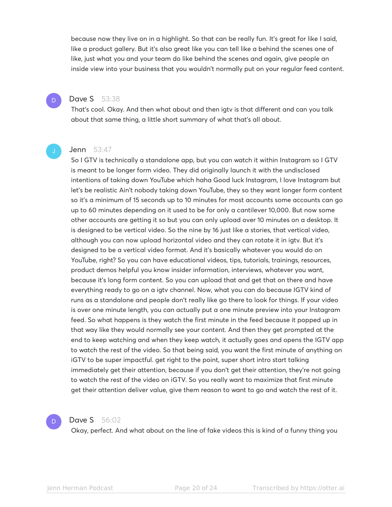because now they live on in a highlight. So that can be really fun. It's great for like I said, like a product gallery. But it's also great like you can tell like a behind the scenes one of like, just what you and your team do like behind the scenes and again, give people an inside view into your business that you wouldn't normally put on your regular feed content.

# **Dave S** 53:38

D

That's cool. Okay. And then what about and then igtv is that different and can you talk about that same thing, a little short summary of what that's all about.

### **Jenn** 53:47

So I GTV is technically a standalone app, but you can watch it within Instagram so I GTV is meant to be longer form video. They did originally launch it with the undisclosed intentions of taking down YouTube which haha Good luck Instagram, I love Instagram but let's be realistic Ain't nobody taking down YouTube, they so they want longer form content so it's a minimum of 15 seconds up to 10 minutes for most accounts some accounts can go up to 60 minutes depending on it used to be for only a cantilever 10,000. But now some other accounts are getting it so but you can only upload over 10 minutes on a desktop. It is designed to be vertical video. So the nine by 16 just like a stories, that vertical video, although you can now upload horizontal video and they can rotate it in igtv. But it's designed to be a vertical video format. And it's basically whatever you would do on YouTube, right? So you can have educational videos, tips, tutorials, trainings, resources, product demos helpful you know insider information, interviews, whatever you want, because it's long form content. So you can upload that and get that on there and have everything ready to go on a igtv channel. Now, what you can do because IGTV kind of runs as a standalone and people don't really like go there to look for things. If your video is over one minute length, you can actually put a one minute preview into your Instagram feed. So what happens is they watch the first minute in the feed because it popped up in that way like they would normally see your content. And then they get prompted at the end to keep watching and when they keep watch, it actually goes and opens the IGTV app to watch the rest of the video. So that being said, you want the first minute of anything on iGTV to be super impactful. get right to the point, super short intro start talking immediately get their attention, because if you don't get their attention, they're not going to watch the rest of the video on iGTV. So you really want to maximize that first minute get their attention deliver value, give them reason to want to go and watch the rest of it.



#### **Dave S** 56:02

Okay, perfect. And what about on the line of fake videos this is kind of a funny thing you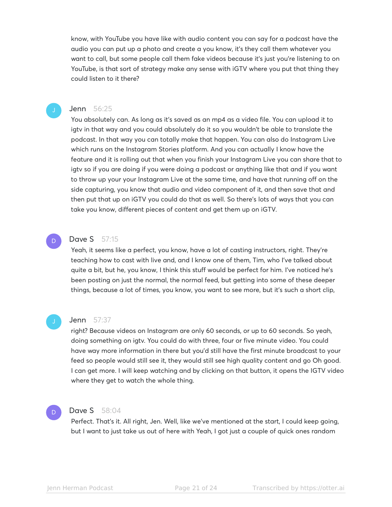know, with YouTube you have like with audio content you can say for a podcast have the audio you can put up a photo and create a you know, it's they call them whatever you want to call, but some people call them fake videos because it's just you're listening to on YouTube, is that sort of strategy make any sense with iGTV where you put that thing they could listen to it there?

# Jenn 56:25

You absolutely can. As long as it's saved as an mp4 as a video file. You can upload it to igtv in that way and you could absolutely do it so you wouldn't be able to translate the podcast. In that way you can totally make that happen. You can also do Instagram Live which runs on the Instagram Stories platform. And you can actually I know have the feature and it is rolling out that when you finish your Instagram Live you can share that to igtv so if you are doing if you were doing a podcast or anything like that and if you want to throw up your your Instagram Live at the same time, and have that running off on the side capturing, you know that audio and video component of it, and then save that and then put that up on iGTV you could do that as well. So there's lots of ways that you can take you know, different pieces of content and get them up on iGTV.

# **Dave S** 57:15

Yeah, it seems like a perfect, you know, have a lot of casting instructors, right. They're teaching how to cast with live and, and I know one of them, Tim, who I've talked about quite a bit, but he, you know, I think this stuff would be perfect for him. I've noticed he's been posting on just the normal, the normal feed, but getting into some of these deeper things, because a lot of times, you know, you want to see more, but it's such a short clip,

## **Jenn** 57:37

right? Because videos on Instagram are only 60 seconds, or up to 60 seconds. So yeah, doing something on igtv. You could do with three, four or five minute video. You could have way more information in there but you'd still have the first minute broadcast to your feed so people would still see it, they would still see high quality content and go Oh good. I can get more. I will keep watching and by clicking on that button, it opens the IGTV video where they get to watch the whole thing.

# D

D

# **Dave S** 58:04

Perfect. That's it. All right, Jen. Well, like we've mentioned at the start, I could keep going, but I want to just take us out of here with Yeah, I got just a couple of quick ones random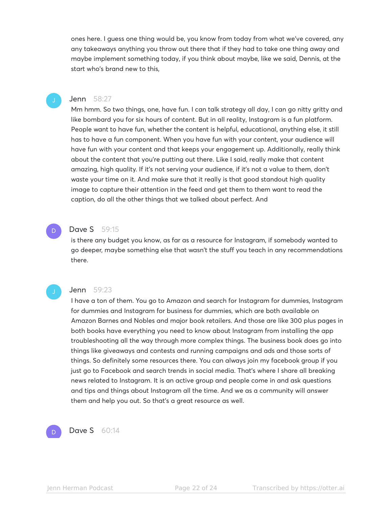ones here. I guess one thing would be, you know from today from what we've covered, any any takeaways anything you throw out there that if they had to take one thing away and maybe implement something today, if you think about maybe, like we said, Dennis, at the start who's brand new to this,

#### **Jenn** 58:27

Mm hmm. So two things, one, have fun. I can talk strategy all day, I can go nitty gritty and like bombard you for six hours of content. But in all reality, Instagram is a fun platform. People want to have fun, whether the content is helpful, educational, anything else, it still has to have a fun component. When you have fun with your content, your audience will have fun with your content and that keeps your engagement up. Additionally, really think about the content that you're putting out there. Like I said, really make that content amazing, high quality. If it's not serving your audience, if it's not a value to them, don't waste your time on it. And make sure that it really is that good standout high quality image to capture their attention in the feed and get them to them want to read the caption, do all the other things that we talked about perfect. And

# **Dave S** 59:15

D

is there any budget you know, as far as a resource for Instagram, if somebody wanted to go deeper, maybe something else that wasn't the stuff you teach in any recommendations there.

# Jenn 59:23

I have a ton of them. You go to Amazon and search for Instagram for dummies, Instagram for dummies and Instagram for business for dummies, which are both available on Amazon Barnes and Nobles and major book retailers. And those are like 300 plus pages in both books have everything you need to know about Instagram from installing the app troubleshooting all the way through more complex things. The business book does go into things like giveaways and contests and running campaigns and ads and those sorts of things. So definitely some resources there. You can always join my facebook group if you just go to Facebook and search trends in social media. That's where I share all breaking news related to Instagram. It is an active group and people come in and ask questions and tips and things about Instagram all the time. And we as a community will answer them and help you out. So that's a great resource as well.



**Dave S** 60:14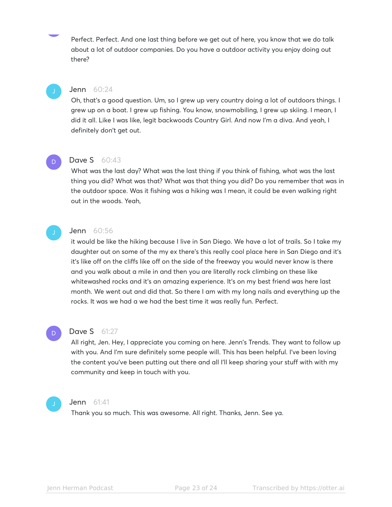Perfect. Perfect. And one last thing before we get out of here, you know that we do talk about a lot of outdoor companies. Do you have a outdoor activity you enjoy doing out there?

# Jenn 60:24

Oh, that's a good question. Um, so I grew up very country doing a lot of outdoors things. I grew up on a boat. I grew up fishing. You know, snowmobiling, I grew up skiing. I mean, I did it all. Like I was like, legit backwoods Country Girl. And now I'm a diva. And yeah, I definitely don't get out.



#### Dave S 60:43

What was the last day? What was the last thing if you think of fishing, what was the last thing you did? What was that? What was that thing you did? Do you remember that was in the outdoor space. Was it fishing was a hiking was I mean, it could be even walking right out in the woods. Yeah,

# Jenn 60:56

it would be like the hiking because I live in San Diego. We have a lot of trails. So I take my daughter out on some of the my ex there's this really cool place here in San Diego and it's it's like off on the cliffs like off on the side of the freeway you would never know is there and you walk about a mile in and then you are literally rock climbing on these like whitewashed rocks and it's an amazing experience. It's on my best friend was here last month. We went out and did that. So there I am with my long nails and everything up the rocks. It was we had a we had the best time it was really fun. Perfect.

# D

# **Dave S** 61:27

All right, Jen. Hey, I appreciate you coming on here. Jenn's Trends. They want to follow up with you. And I'm sure definitely some people will. This has been helpful. I've been loving the content you've been putting out there and all I'll keep sharing your stuff with with my community and keep in touch with you.



#### **Jenn** 61:41

Thank you so much. This was awesome. All right. Thanks, Jenn. See ya.